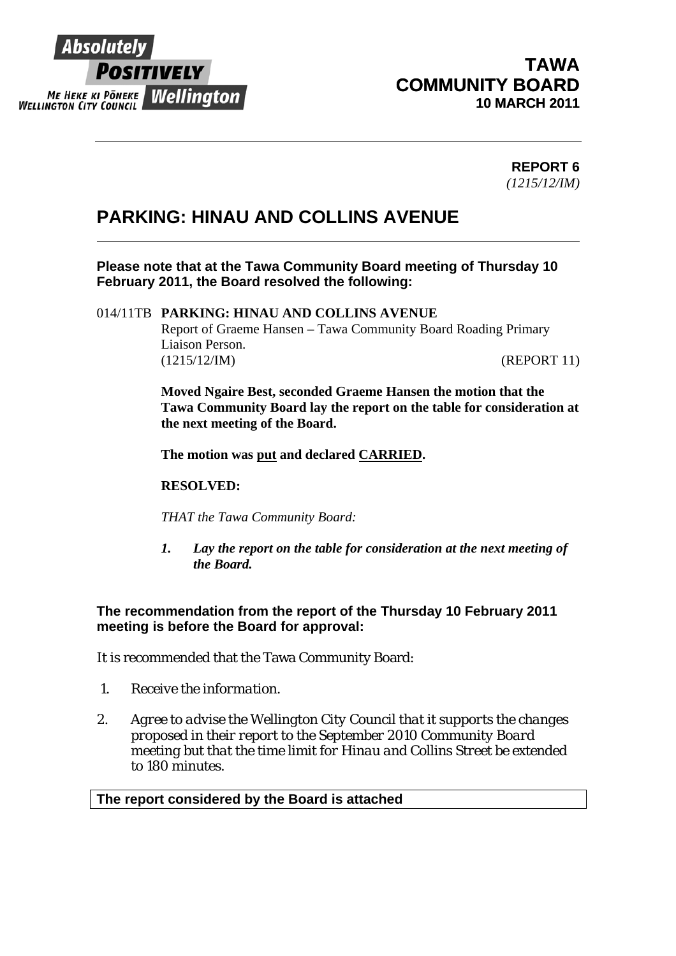

 $\overline{a}$ 

## **TAWA COMMUNITY BOARD 10 MARCH 2011**

### **REPORT 6**  *(1215/12/IM)*

## **PARKING: HINAU AND COLLINS AVENUE**

**Please note that at the Tawa Community Board meeting of Thursday 10 February 2011, the Board resolved the following:** 

#### 014/11TB **PARKING: HINAU AND COLLINS AVENUE**

Report of Graeme Hansen – Tawa Community Board Roading Primary Liaison Person. (1215/12/IM) (REPORT 11)

**Moved Ngaire Best, seconded Graeme Hansen the motion that the Tawa Community Board lay the report on the table for consideration at the next meeting of the Board.** 

**The motion was put and declared CARRIED.** 

#### **RESOLVED:**

*THAT the Tawa Community Board:* 

*1. Lay the report on the table for consideration at the next meeting of the Board.*

**The recommendation from the report of the Thursday 10 February 2011 meeting is before the Board for approval:** 

It is recommended that the Tawa Community Board:

- *1. Receive the information.*
- *2. Agree to advise the Wellington City Council that it supports the changes proposed in their report to the September 2010 Community Board meeting but that the time limit for Hinau and Collins Street be extended to 180 minutes.*

#### **The report considered by the Board is attached**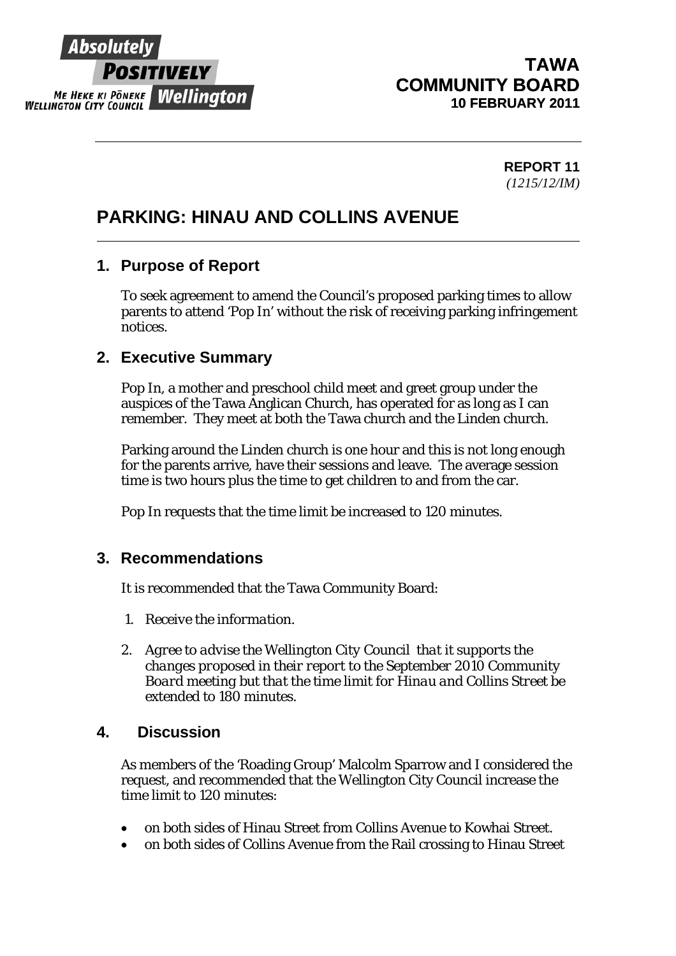

 $\overline{a}$ 

## **TAWA COMMUNITY BOARD 10 FEBRUARY 2011**

**REPORT 11**  *(1215/12/IM)* 

# **PARKING: HINAU AND COLLINS AVENUE**

## **1. Purpose of Report**

To seek agreement to amend the Council's proposed parking times to allow parents to attend 'Pop In' without the risk of receiving parking infringement notices.

## **2. Executive Summary**

Pop In, a mother and preschool child meet and greet group under the auspices of the Tawa Anglican Church, has operated for as long as I can remember. They meet at both the Tawa church and the Linden church.

Parking around the Linden church is one hour and this is not long enough for the parents arrive, have their sessions and leave. The average session time is two hours plus the time to get children to and from the car.

Pop In requests that the time limit be increased to 120 minutes.

### **3. Recommendations**

It is recommended that the Tawa Community Board:

- *1. Receive the information.*
- *2. Agree to advise the Wellington City Council that it supports the changes proposed in their report to the September 2010 Community Board meeting but that the time limit for Hinau and Collins Street be extended to 180 minutes.*

### **4. Discussion**

As members of the 'Roading Group' Malcolm Sparrow and I considered the request, and recommended that the Wellington City Council increase the time limit to 120 minutes:

- on both sides of Hinau Street from Collins Avenue to Kowhai Street.
- on both sides of Collins Avenue from the Rail crossing to Hinau Street